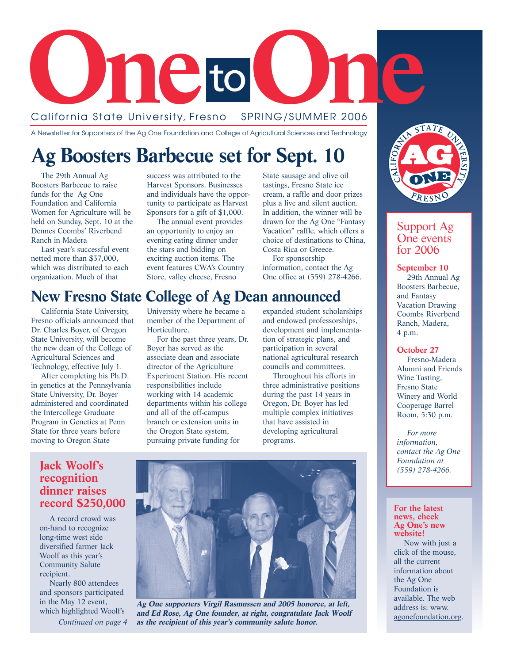

### California State University, Fresno

A Newsletter for Supporters of the Ag One Foundation and College of Agricultural Sciences and Technology

## **Ag Boosters Barbecue set for Sept. 10**

The 29th Annual Ag Boosters Barbecue to raise funds for the Ag One Foundation and California Women for Agriculture will be held on Sunday, Sept. 10 at the Dennes Coombs' Riverbend Ranch in Madera

Last year's successful event netted more than \$37,000, which was distributed to each organization. Much of that

success was attributed to the Harvest Sponsors. Businesses and individuals have the opportunity to participate as Harvest Sponsors for a gift of \$1,000.

The annual event provides an opportunity to enjoy an evening eating dinner under the stars and bidding on exciting auction items. The event features CWA's Country Store, valley cheese, Fresno

State sausage and olive oil tastings, Fresno State ice cream, a raffle and door prizes plus a live and silent auction. In addition, the winner will be drawn for the Ag One "Fantasy Vacation" raffle, which offers a choice of destinations to China, Costa Rica or Greece.

For sponsorship information, contact the Ag One office at (559) 278-4266.

### **New Fresno State College of Ag Dean announced**

California State University, Fresno officials announced that Dr. Charles Boyer, of Oregon State University, will become the new dean of the College of Agricultural Sciences and Technology, effective July 1.

After completing his Ph.D. in genetics at the Pennsylvania State University, Dr. Boyer administered and coordinated the Intercollege Graduate Program in Genetics at Penn State for three years before moving to Oregon State

University where he became a member of the Department of Horticulture.

For the past three years, Dr. Boyer has served as the associate dean and associate director of the Agriculture Experiment Station. His recent responsibilities include working with 14 academic departments within his college and all of the off-campus branch or extension units in the Oregon State system, pursuing private funding for

expanded student scholarships and endowed professorships, development and implementation of strategic plans, and participation in several national agricultural research councils and committees.

Throughout his efforts in three administrative positions during the past 14 years in Oregon, Dr. Boyer has led multiple complex initiatives that have assisted in developing agricultural programs.



#### Support Ag One events for 2006

**September 10** 29th Annual Ag Boosters Barbecue, and Fantasy Vacation Drawing Coombs Riverbend Ranch, Madera, 4 p.m.

#### **October 27**

Fresno-Madera Alumni and Friends Wine Tasting, Fresno State Winery and World Cooperage Barrel Room, 5:30 p.m.

*For more information, contact the Ag One Foundation at (559) 278-4266.* 

#### **For the latest news, check Ag One's new website!**

Now with just a click of the mouse, all the current information about the Ag One Foundation is available. The web address is: www. agonefoundation.org.

### **Jack Woolf's recognition dinner raises record \$250,000**

A record crowd was on-hand to recognize long-time west side diversified farmer Jack Woolf as this year's Community Salute recipient.

Nearly 800 attendees and sponsors participated in the May 12 event, which highlighted Woolf's

*Continued on page 4*



**Ag One supporters Virgil Rasmussen and 2005 honoree, at left, and Ed Rose, Ag One founder, at right, congratulate Jack Woolf as the recipient of this year's community salute honor.**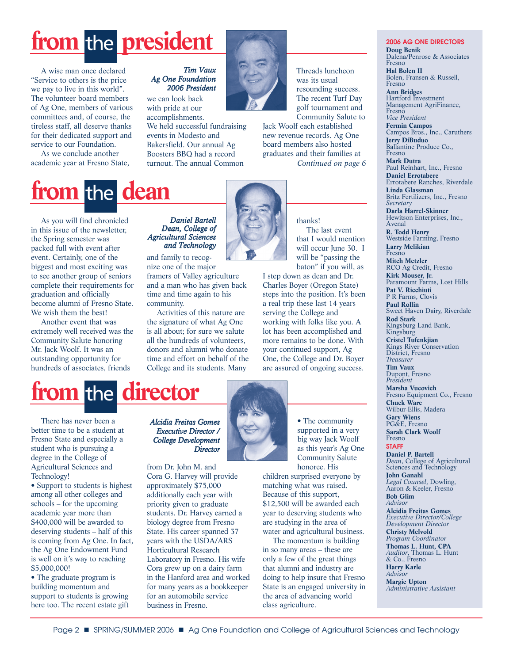# from the **president**

A wise man once declared "Service to others is the price we pay to live in this world". The volunteer board members of Ag One, members of various committees and, of course, the tireless staff, all deserve thanks for their dedicated support and service to our Foundation.

As we conclude another academic year at Fresno State,

#### *Tim Vaux Ag One Foundation 2006 President*

we can look back with pride at our

accomplishments. We held successful fundraising events in Modesto and Bakersfield. Our annual Ag Boosters BBQ had a record turnout. The annual Common



Threads luncheon was its usual resounding success. The recent Turf Day golf tournament and Community Salute to

Jack Woolf each established new revenue records. Ag One board members also hosted graduates and their families at *Continued on page 6*

# **from the dean**

As you will find chronicled in this issue of the newsletter, the Spring semester was packed full with event after event. Certainly, one of the biggest and most exciting was to see another group of seniors complete their requirements for graduation and officially become alumni of Fresno State. We wish them the best!

Another event that was extremely well received was the Community Salute honoring Mr. Jack Woolf. It was an outstanding opportunity for hundreds of associates, friends

#### *Daniel Bartell Dean, College of Agricultural Sciences and Technology*

and family to recognize one of the major framers of Valley agriculture and a man who has given back time and time again to his community.

Activities of this nature are the signature of what Ag One is all about; for sure we salute all the hundreds of volunteers, donors and alumni who donate time and effort on behalf of the College and its students. Many



thanks! The last event that I would mention will occur June 30. I will be "passing the baton" if you will, as

I step down as dean and Dr. Charles Boyer (Oregon State) steps into the position. It's been a real trip these last 14 years serving the College and working with folks like you. A lot has been accomplished and more remains to be done. With your continued support, Ag One, the College and Dr. Boyer are assured of ongoing success.

![](_page_1_Picture_18.jpeg)

There has never been a better time to be a student at Fresno State and especially a student who is pursuing a degree in the College of Agricultural Sciences and Technology!

• Support to students is highest among all other colleges and schools – for the upcoming academic year more than \$400,000 will be awarded to deserving students – half of this is coming from Ag One. In fact, the Ag One Endowment Fund is well on it's way to reaching \$5,000,000!

• The graduate program is building momentum and support to students is growing here too. The recent estate gift

#### *Alcidia Freitas Gomes Executive Director / College Development Director*

from Dr. John M. and Cora G. Harvey will provide approximately \$75,000 additionally each year with priority given to graduate students. Dr. Harvey earned a biology degree from Fresno State. His career spanned 37 years with the USDA/ARS Horticultural Research Laboratory in Fresno. His wife Cora grew up on a dairy farm in the Hanford area and worked for many years as a bookkeeper for an automobile service business in Fresno.

![](_page_1_Picture_24.jpeg)

• The community supported in a very big way Jack Woolf as this year's Ag One Community Salute honoree. His

children surprised everyone by matching what was raised. Because of this support, \$12,500 will be awarded each year to deserving students who are studying in the area of water and agricultural business.

The momentum is building in so many areas – these are only a few of the great things that alumni and industry are doing to help insure that Fresno State is an engaged university in the area of advancing world class agriculture.

#### **2006 AG ONE DIRECTORS Doug Benik** Dalena/Penrose & Associates Fresno

**Hal Bolen II** Bolen, Fransen & Russell, Fresno

**Ann Bridges** Hartford Investment Management AgriFinance,

Fresno *Vice President* **Fermin Campos** Campos Bros., Inc., Caruthers **Jerry DiBuduo**

Ballantine Produce Co., Fresno **Mark Dutra**

Paul Reinhart, Inc., Fresno **Daniel Errotabere** Errotabere Ranches, Riverdale **Linda Glassman** Britz Fertilizers, Inc., Fresno

*Secretary* **Darla Harrel-Skinner** Hewitson Enterprises, Inc., Avenal **R. Todd Henry**

Westside Farming, Fresno **Larry Melikian** Fresno **Mitch Metzler** RCO Ag Credit, Fresno **Kirk Mouser, Jr.** Paramount Farms, Lost Hills **Pat V. Ricchiuti** P R Farms, Clovis **Paul Rollin** Sweet Haven Dairy, Riverdale **Rod Stark** Kingsburg Land Bank, **Kingsburg Cristel Tufenkjian** Kings River Conservation District, Fresno *Treasurer*

Dupont, Fresno *President*

**Marsha Vucovich** Fresno Equipment Co., Fresno **Chuck Ware** Wilbur-Ellis, Madera

**Gary Wiens** PG&E, Fresno

**Sarah Clark Woolf** Fresno

**STAFF Daniel P. Bartell** *Dean*, College of Agricultural Sciences and Technology

**John Ganahl** *Legal Counsel*, Dowling, Aaron & Keeler, Fresno

**Bob Glim** *Advisor*

**Alcidia Freitas Gomes** *Executive Director/College Development Director* **Christy Melvold** *Program Coordinator*

**Thomas L. Hunt, CPA** *Auditor*, Thomas L. Hunt & Co., Fresno **Harry Karle**

*Advisor* **Margie Upton** *Administrative Assistant*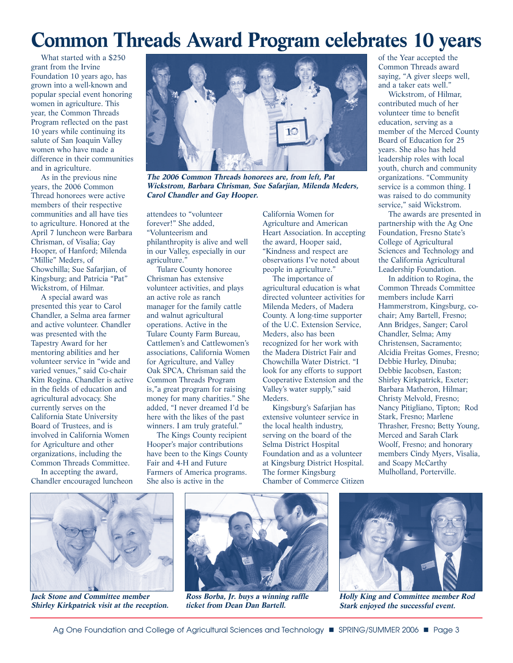# **Common Threads Award Program celebrates 10 years**

What started with a \$250 grant from the Irvine Foundation 10 years ago, has grown into a well-known and popular special event honoring women in agriculture. This year, the Common Threads Program reflected on the past 10 years while continuing its salute of San Joaquin Valley women who have made a difference in their communities and in agriculture.

As in the previous nine years, the 2006 Common Thread honorees were active members of their respective communities and all have ties to agriculture. Honored at the April 7 luncheon were Barbara Chrisman, of Visalia; Gay Hooper, of Hanford; Milenda "Millie" Meders, of Chowchilla; Sue Safarjian, of Kingsburg; and Patricia "Pat" Wickstrom, of Hilmar.

A special award was presented this year to Carol Chandler, a Selma area farmer and active volunteer. Chandler was presented with the Tapestry Award for her mentoring abilities and her volunteer service in "wide and varied venues," said Co-chair Kim Rogina. Chandler is active in the fields of education and agricultural advocacy. She currently serves on the California State University Board of Trustees, and is involved in California Women for Agriculture and other organizations, including the Common Threads Committee.

In accepting the award, Chandler encouraged luncheon

![](_page_2_Picture_5.jpeg)

**The 2006 Common Threads honorees are, from left, Pat Wickstrom, Barbara Chrisman, Sue Safarjian, Milenda Meders, Carol Chandler and Gay Hooper.**

attendees to "volunteer forever!" She added, "Volunteerism and philanthropity is alive and well in our Valley, especially in our agriculture."

Tulare County honoree Chrisman has extensive volunteer activities, and plays an active role as ranch manager for the family cattle and walnut agricultural operations. Active in the Tulare County Farm Bureau, Cattlemen's and Cattlewomen's associations, California Women for Agriculture, and Valley Oak SPCA, Chrisman said the Common Threads Program is,"a great program for raising money for many charities." She added, "I never dreamed I'd be here with the likes of the past winners. I am truly grateful."

The Kings County recipient Hooper's major contributions have been to the Kings County Fair and 4-H and Future Farmers of America programs. She also is active in the

California Women for Agriculture and American Heart Association. In accepting the award, Hooper said, "Kindness and respect are observations I've noted about people in agriculture."

The importance of agricultural education is what directed volunteer activities for Milenda Meders, of Madera County. A long-time supporter of the U.C. Extension Service, Meders, also has been recognized for her work with the Madera District Fair and Chowchilla Water District. "I look for any efforts to support Cooperative Extension and the Valley's water supply," said Meders.

Kingsburg's Safarjian has extensive volunteer service in the local health industry, serving on the board of the Selma District Hospital Foundation and as a volunteer at Kingsburg District Hospital. The former Kingsburg Chamber of Commerce Citizen of the Year accepted the Common Threads award saying, "A giver sleeps well, and a taker eats well."

Wickstrom, of Hilmar, contributed much of her volunteer time to benefit education, serving as a member of the Merced County Board of Education for 25 years. She also has held leadership roles with local youth, church and community organizations. "Community service is a common thing. I was raised to do community service," said Wickstrom.

The awards are presented in partnership with the Ag One Foundation, Fresno State's College of Agricultural Sciences and Technology and the California Agricultural Leadership Foundation.

In addition to Rogina, the Common Threads Committee members include Karri Hammerstrom, Kingsburg, cochair; Amy Bartell, Fresno; Ann Bridges, Sanger; Carol Chandler, Selma; Amy Christensen, Sacramento; Alcidia Freitas Gomes, Fresno; Debbie Hurley, Dinuba; Debbie Jacobsen, Easton; Shirley Kirkpatrick, Exeter; Barbara Matheron, Hilmar; Christy Melvold, Fresno; Nancy Pitigliano, Tipton; Rod Stark, Fresno; Marlene Thrasher, Fresno; Betty Young, Merced and Sarah Clark Woolf, Fresno; and honorary members Cindy Myers, Visalia, and Soapy McCarthy Mulholland, Porterville.

![](_page_2_Picture_17.jpeg)

**Jack Stone and Committee member Shirley Kirkpatrick visit at the reception.**

![](_page_2_Picture_19.jpeg)

**Ross Borba, Jr. buys a winning raffle ticket from Dean Dan Bartell.**

![](_page_2_Picture_21.jpeg)

**Holly King and Committee member Rod Stark enjoyed the successful event.**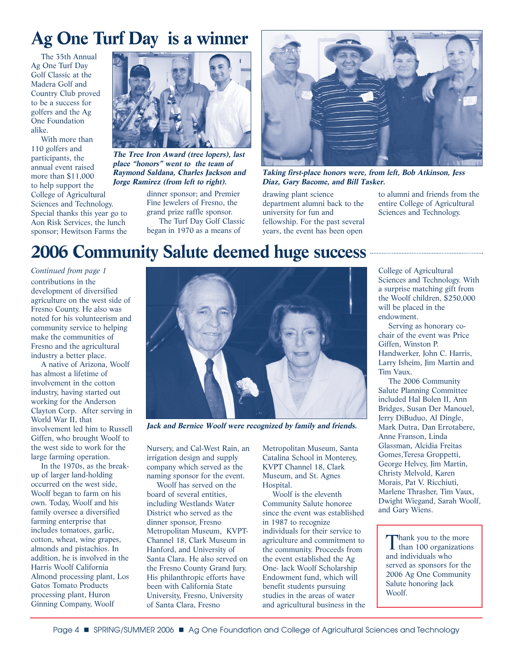## **Ag One Turf Day is a winner**

The 35th Annual Ag One Turf Day Golf Classic at the Madera Golf and Country Club proved to be a success for golfers and the Ag One Foundation alike.

With more than 110 golfers and participants, the annual event raised more than \$11,000 to help support the College of Agricultural Sciences and Technology. Special thanks this year go to Aon Risk Services, the lunch sponsor; Hewitson Farms the

![](_page_3_Picture_3.jpeg)

**The Tree Iron Award (tree lopers), last place "honors" went to the team of Raymond Saldana, Charles Jackson and Jorge Ramirez (from left to right).**

dinner sponsor; and Premier Fine Jewelers of Fresno, the grand prize raffle sponsor. The Turf Day Golf Classic began in 1970 as a means of

![](_page_3_Picture_6.jpeg)

**Taking first-place honors were, from left, Bob Atkinson, Jess Diaz, Gary Bacome, and Bill Tasker.**

drawing plant science department alumni back to the university for fun and fellowship. For the past several years, the event has been open

to alumni and friends from the entire College of Agricultural Sciences and Technology.

### **2006 Community Salute deemed huge success**

contributions in the development of diversified agriculture on the west side of Fresno County. He also was noted for his volunteerism and community service to helping make the communities of Fresno and the agricultural industry a better place. *Continued from page 1*

A native of Arizona, Woolf has almost a lifetime of involvement in the cotton industry, having started out working for the Anderson Clayton Corp. After serving in World War II, that involvement led him to Russell Giffen, who brought Woolf to the west side to work for the large farming operation.

In the 1970s, as the breakup of larger land-holding occurred on the west side, Woolf began to farm on his own. Today, Woolf and his family oversee a diversified farming enterprise that includes tomatoes, garlic, cotton, wheat, wine grapes, almonds and pistachios. In addition, he is involved in the Harris Woolf California Almond processing plant, Los Gatos Tomato Products processing plant, Huron Ginning Company, Woolf

![](_page_3_Picture_14.jpeg)

**Jack and Bernice Woolf were recognized by family and friends.**

Nursery, and Cal-West Rain, an irrigation design and supply company which served as the naming sponsor for the event.

Woolf has served on the board of several entities, including Westlands Water District who served as the dinner sponsor, Fresno Metropolitan Museum, KVPT-Channel 18, Clark Museum in Hanford, and University of Santa Clara. He also served on the Fresno County Grand Jury. His philanthropic efforts have been with California State University, Fresno, University of Santa Clara, Fresno

Metropolitan Museum, Santa Catalina School in Monterey, KVPT Channel 18, Clark Museum, and St. Agnes Hospital.

Woolf is the eleventh Community Salute honoree since the event was established in 1987 to recognize individuals for their service to agriculture and commitment to the community. Proceeds from the event established the Ag One- Jack Woolf Scholarship Endowment fund, which will benefit students pursuing studies in the areas of water and agricultural business in the College of Agricultural Sciences and Technology. With a surprise matching gift from the Woolf children, \$250,000 will be placed in the endowment.

Serving as honorary cochair of the event was Price Giffen, Winston P. Handwerker, John C. Harris, Larry Isheim, Jim Martin and Tim Vaux.

The 2006 Community Salute Planning Committee included Hal Bolen II, Ann Bridges, Susan Der Manouel, Jerry DiBuduo, Al Dingle, Mark Dutra, Dan Errotabere, Anne Franson, Linda Glassman, Alcidia Freitas Gomes,Teresa Groppetti, George Helvey, Jim Martin, Christy Melvold, Karen Morais, Pat V. Ricchiuti, Marlene Thrasher, Tim Vaux, Dwight Wiegand, Sarah Woolf, and Gary Wiens.

Thank you to the more<br>than 100 organizations and individuals who served as sponsors for the 2006 Ag One Community Salute honoring Jack Woolf.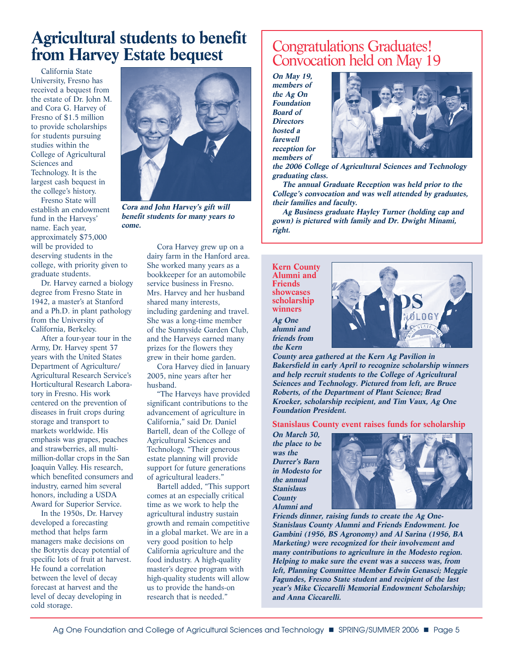### **Agricultural students to benefit from Harvey Estate bequest**

California State University, Fresno has received a bequest from the estate of Dr. John M. and Cora G. Harvey of Fresno of \$1.5 million to provide scholarships for students pursuing studies within the College of Agricultural Sciences and Technology. It is the largest cash bequest in the college's history.

Fresno State will establish an endowment fund in the Harveys' name. Each year, approximately \$75,000 will be provided to deserving students in the college, with priority given to graduate students.

Dr. Harvey earned a biology degree from Fresno State in 1942, a master's at Stanford and a Ph.D. in plant pathology from the University of California, Berkeley.

After a four-year tour in the Army, Dr. Harvey spent 37 years with the United States Department of Agriculture/ Agricultural Research Service's Horticultural Research Laboratory in Fresno. His work centered on the prevention of diseases in fruit crops during storage and transport to markets worldwide. His emphasis was grapes, peaches and strawberries, all multimillion-dollar crops in the San Joaquin Valley. His research, which benefited consumers and industry, earned him several honors, including a USDA Award for Superior Service.

In the 1950s, Dr. Harvey developed a forecasting method that helps farm managers make decisions on the Botrytis decay potential of specific lots of fruit at harvest. He found a correlation between the level of decay forecast at harvest and the level of decay developing in cold storage.

![](_page_4_Picture_6.jpeg)

**Cora and John Harvey's gift will benefit students for many years to come.**

Cora Harvey grew up on a dairy farm in the Hanford area. She worked many years as a bookkeeper for an automobile service business in Fresno. Mrs. Harvey and her husband shared many interests, including gardening and travel. She was a long-time member of the Sunnyside Garden Club, and the Harveys earned many prizes for the flowers they grew in their home garden.

Cora Harvey died in January 2005, nine years after her husband.

"The Harveys have provided significant contributions to the advancement of agriculture in California," said Dr. Daniel Bartell, dean of the College of Agricultural Sciences and Technology. "Their generous estate planning will provide support for future generations of agricultural leaders."

Bartell added, "This support comes at an especially critical time as we work to help the agricultural industry sustain growth and remain competitive in a global market. We are in a very good position to help California agriculture and the food industry. A high-quality master's degree program with high-quality students will allow us to provide the hands-on research that is needed."

### Congratulations Graduates! Convocation held on May 19

**On May 19, members of the Ag On Foundation Board of Directors hosted a farewell reception for members of**

![](_page_4_Picture_14.jpeg)

**the 2006 College of Agricultural Sciences and Technology graduating class.** 

**The annual Graduate Reception was held prior to the College's convocation and was well attended by graduates, their families and faculty.**

**Ag Business graduate Hayley Turner (holding cap and gown) is pictured with family and Dr. Dwight Minami, right.**

**Kern County Alumni and Friends showcases scholarship winners Ag One alumni and friends from the Kern**

![](_page_4_Picture_19.jpeg)

**County area gathered at the Kern Ag Pavilion in Bakersfield in early April to recognize scholarship winners and help recruit students to the College of Agricultural Sciences and Technology. Pictured from left, are Bruce Roberts, of the Department of Plant Science; Brad Kroeker, scholarship recipient, and Tim Vaux, Ag One Foundation President.**

**Stanislaus County event raises funds for scholarship**

**On March 30, the place to be was the Durrer's Barn in Modesto for the annual Stanislaus County Alumni and**

![](_page_4_Picture_23.jpeg)

**Friends dinner, raising funds to create the Ag One-Stanislaus County Alumni and Friends Endowment. Joe Gambini (1956, BS Agronomy) and Al Sarina (1956, BA Marketing) were recognized for their involvement and many contributions to agriculture in the Modesto region. Helping to make sure the event was a success was, from left, Planning Committee Member Edwin Genasci; Meggie Fagundes, Fresno State student and recipient of the last year's Mike Ciccarelli Memorial Endowment Scholarship; and Anna Ciccarelli.**